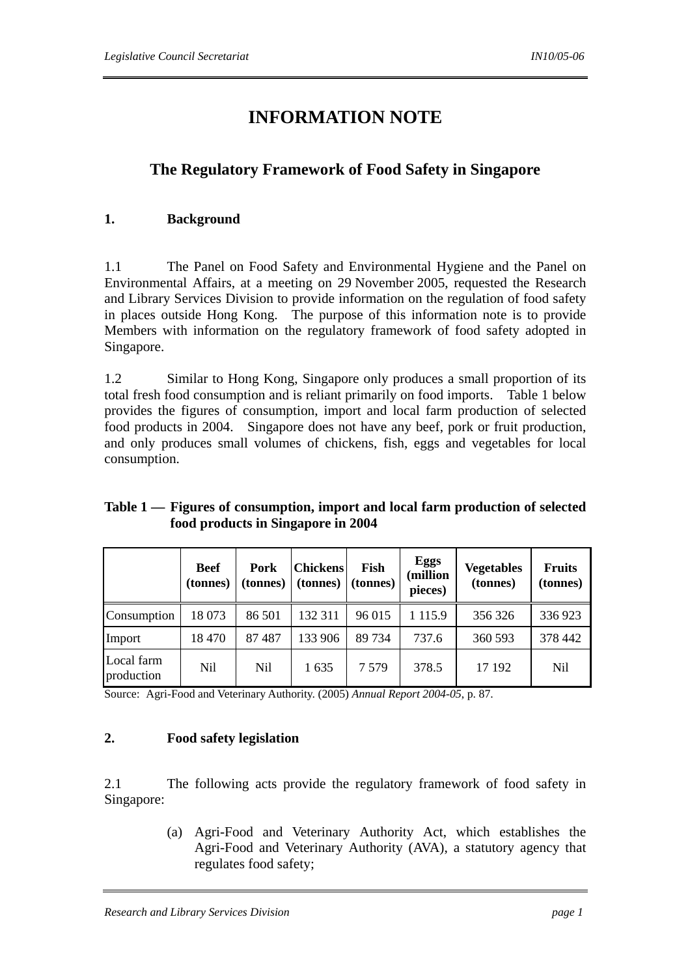# **INFORMATION NOTE**

# **The Regulatory Framework of Food Safety in Singapore**

### **1. Background**

1.1 The Panel on Food Safety and Environmental Hygiene and the Panel on Environmental Affairs, at a meeting on 29 November 2005, requested the Research and Library Services Division to provide information on the regulation of food safety in places outside Hong Kong. The purpose of this information note is to provide Members with information on the regulatory framework of food safety adopted in Singapore.

1.2 Similar to Hong Kong, Singapore only produces a small proportion of its total fresh food consumption and is reliant primarily on food imports. Table 1 below provides the figures of consumption, import and local farm production of selected food products in 2004. Singapore does not have any beef, pork or fruit production, and only produces small volumes of chickens, fish, eggs and vegetables for local consumption.

# **Table 1 — Figures of consumption, import and local farm production of selected food products in Singapore in 2004**

|                          | <b>Beef</b><br>(tonnes) | Pork<br>(tonnes) | <b>Chickens</b><br>(tonnes) | Fish<br>(tonnes) | <b>Eggs</b><br>(million<br>pieces) | <b>Vegetables</b><br>(tonnes) | <b>Fruits</b><br>(tonnes) |
|--------------------------|-------------------------|------------------|-----------------------------|------------------|------------------------------------|-------------------------------|---------------------------|
| Consumption              | 18 073                  | 86 501           | 132 311                     | 96 015           | 1 1 1 5 .9                         | 356 326                       | 336 923                   |
| Import                   | 18 470                  | 87487            | 133 906                     | 89 734           | 737.6                              | 360 593                       | 378 442                   |
| Local farm<br>production | Nil                     | Nil              | 1635                        | 7 5 7 9          | 378.5                              | 17 192                        | Nil                       |

Source: Agri-Food and Veterinary Authority. (2005) *Annual Report 2004-05*, p. 87.

# **2. Food safety legislation**

2.1 The following acts provide the regulatory framework of food safety in Singapore:

> (a) Agri-Food and Veterinary Authority Act, which establishes the Agri-Food and Veterinary Authority (AVA), a statutory agency that regulates food safety;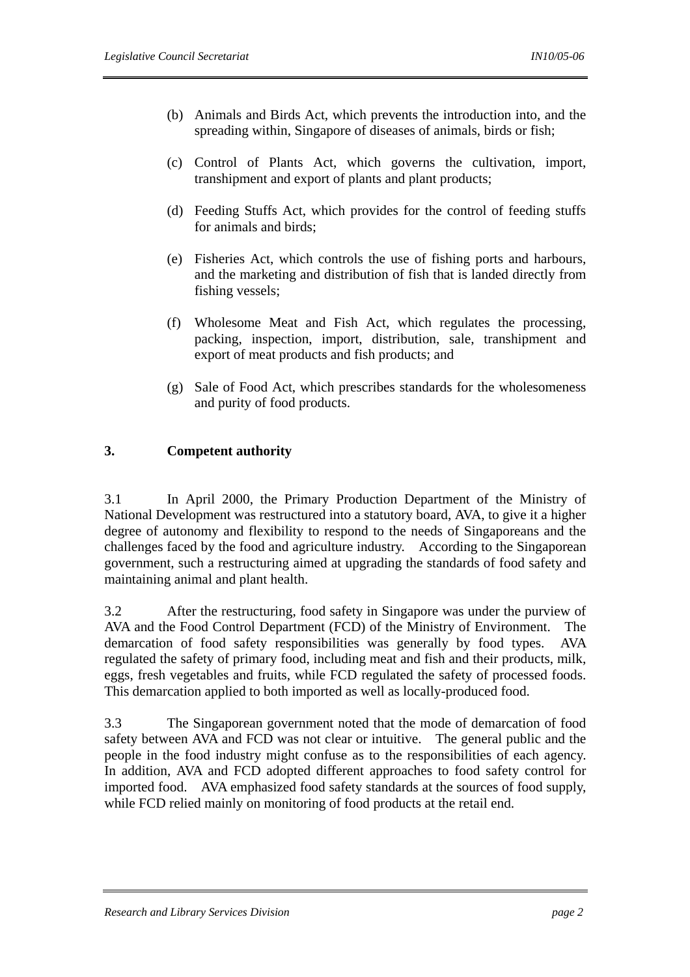- (b) Animals and Birds Act, which prevents the introduction into, and the spreading within, Singapore of diseases of animals, birds or fish;
- (c) Control of Plants Act, which governs the cultivation, import, transhipment and export of plants and plant products;
- (d) Feeding Stuffs Act, which provides for the control of feeding stuffs for animals and birds;
- (e) Fisheries Act, which controls the use of fishing ports and harbours, and the marketing and distribution of fish that is landed directly from fishing vessels;
- (f) Wholesome Meat and Fish Act, which regulates the processing, packing, inspection, import, distribution, sale, transhipment and export of meat products and fish products; and
- (g) Sale of Food Act, which prescribes standards for the wholesomeness and purity of food products.

### **3. Competent authority**

3.1 In April 2000, the Primary Production Department of the Ministry of National Development was restructured into a statutory board, AVA, to give it a higher degree of autonomy and flexibility to respond to the needs of Singaporeans and the challenges faced by the food and agriculture industry. According to the Singaporean government, such a restructuring aimed at upgrading the standards of food safety and maintaining animal and plant health.

3.2 After the restructuring, food safety in Singapore was under the purview of AVA and the Food Control Department (FCD) of the Ministry of Environment. The demarcation of food safety responsibilities was generally by food types. AVA regulated the safety of primary food, including meat and fish and their products, milk, eggs, fresh vegetables and fruits, while FCD regulated the safety of processed foods. This demarcation applied to both imported as well as locally-produced food.

3.3 The Singaporean government noted that the mode of demarcation of food safety between AVA and FCD was not clear or intuitive. The general public and the people in the food industry might confuse as to the responsibilities of each agency. In addition, AVA and FCD adopted different approaches to food safety control for imported food. AVA emphasized food safety standards at the sources of food supply, while FCD relied mainly on monitoring of food products at the retail end.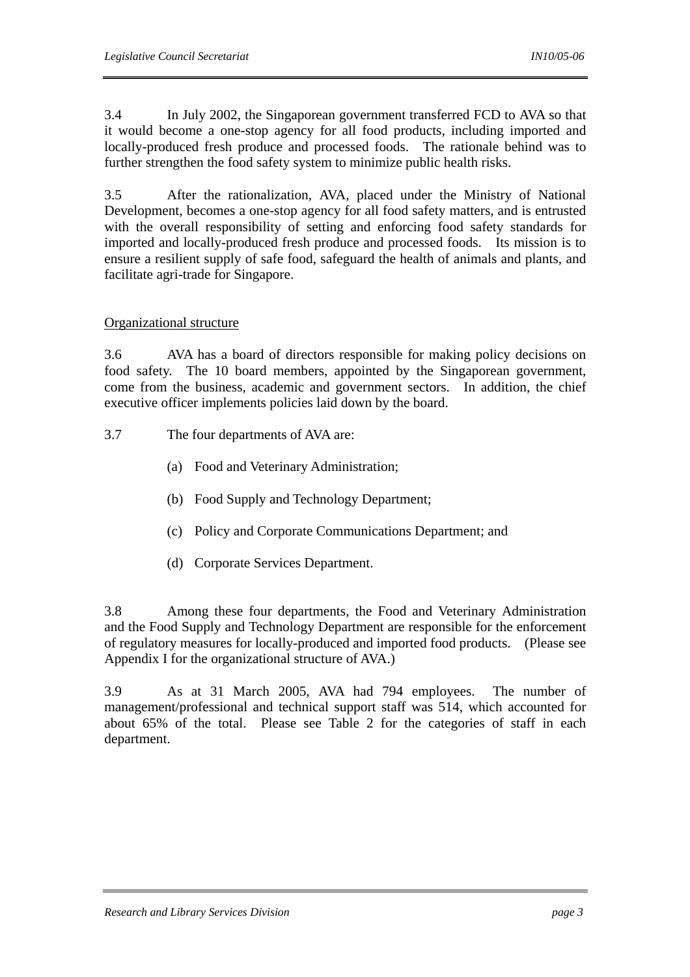3.4 In July 2002, the Singaporean government transferred FCD to AVA so that it would become a one-stop agency for all food products, including imported and locally-produced fresh produce and processed foods. The rationale behind was to further strengthen the food safety system to minimize public health risks.

3.5 After the rationalization, AVA, placed under the Ministry of National Development, becomes a one-stop agency for all food safety matters, and is entrusted with the overall responsibility of setting and enforcing food safety standards for imported and locally-produced fresh produce and processed foods. Its mission is to ensure a resilient supply of safe food, safeguard the health of animals and plants, and facilitate agri-trade for Singapore.

### Organizational structure

3.6 AVA has a board of directors responsible for making policy decisions on food safety. The 10 board members, appointed by the Singaporean government, come from the business, academic and government sectors. In addition, the chief executive officer implements policies laid down by the board.

- 3.7 The four departments of AVA are:
	- (a) Food and Veterinary Administration;
	- (b) Food Supply and Technology Department;
	- (c) Policy and Corporate Communications Department; and
	- (d) Corporate Services Department.

3.8 Among these four departments, the Food and Veterinary Administration and the Food Supply and Technology Department are responsible for the enforcement of regulatory measures for locally-produced and imported food products. (Please see Appendix I for the organizational structure of AVA.)

3.9 As at 31 March 2005, AVA had 794 employees. The number of management/professional and technical support staff was 514, which accounted for about 65% of the total. Please see Table 2 for the categories of staff in each department.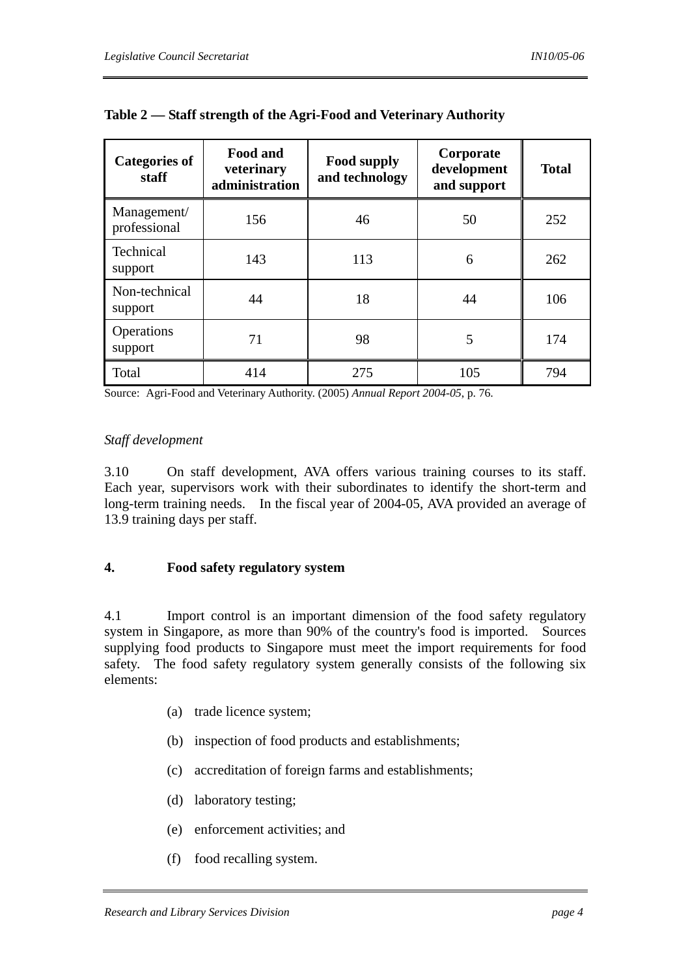| <b>Categories of</b><br>staff | <b>Food and</b><br>veterinary<br>administration | <b>Food supply</b><br>and technology | Corporate<br>development<br>and support | <b>Total</b> |
|-------------------------------|-------------------------------------------------|--------------------------------------|-----------------------------------------|--------------|
| Management/<br>professional   | 156                                             | 46                                   | 50                                      | 252          |
| Technical<br>support          | 143                                             | 113                                  | 6                                       | 262          |
| Non-technical<br>support      | 44                                              | 18                                   | 44                                      | 106          |
| Operations<br>support         | 71                                              | 98                                   | 5                                       | 174          |
| Total                         | 414                                             | 275                                  | 105                                     | 794          |

|  | Table 2 — Staff strength of the Agri-Food and Veterinary Authority |  |
|--|--------------------------------------------------------------------|--|
|  |                                                                    |  |

Source: Agri-Food and Veterinary Authority. (2005) *Annual Report 2004-05*, p. 76.

#### *Staff development*

3.10 On staff development, AVA offers various training courses to its staff. Each year, supervisors work with their subordinates to identify the short-term and long-term training needs. In the fiscal year of 2004-05, AVA provided an average of 13.9 training days per staff.

### **4. Food safety regulatory system**

4.1 Import control is an important dimension of the food safety regulatory system in Singapore, as more than 90% of the country's food is imported. Sources supplying food products to Singapore must meet the import requirements for food safety. The food safety regulatory system generally consists of the following six elements:

- (a) trade licence system;
- (b) inspection of food products and establishments;
- (c) accreditation of foreign farms and establishments;
- (d) laboratory testing;
- (e) enforcement activities; and
- (f) food recalling system.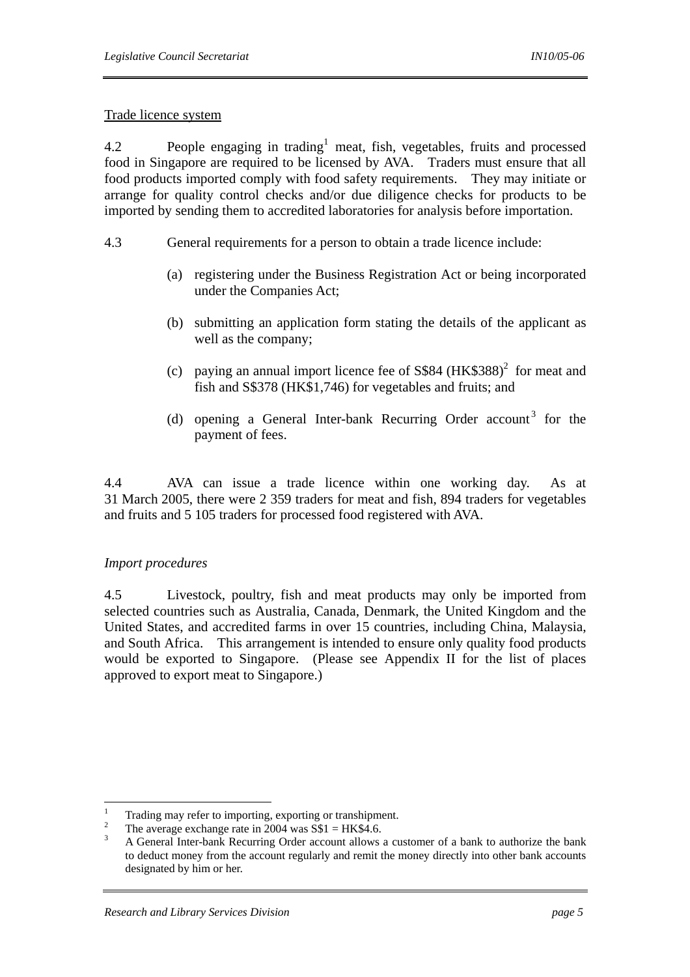### Trade licence system

4.2 People engaging in trading<sup>1</sup> meat, fish, vegetables, fruits and processed food in Singapore are required to be licensed by AVA. Traders must ensure that all food products imported comply with food safety requirements. They may initiate or arrange for quality control checks and/or due diligence checks for products to be imported by sending them to accredited laboratories for analysis before importation.

- 4.3 General requirements for a person to obtain a trade licence include:
	- (a) registering under the Business Registration Act or being incorporated under the Companies Act;
	- (b) submitting an application form stating the details of the applicant as well as the company;
	- (c) paying an annual import licence fee of  $S$84 (HK$388)<sup>2</sup>$  for meat and fish and S\$378 (HK\$1,746) for vegetables and fruits; and
	- (d) opening a General Inter-bank Recurring Order account<sup>3</sup> for the payment of fees.

4.4 AVA can issue a trade licence within one working day. As at 31 March 2005, there were 2 359 traders for meat and fish, 894 traders for vegetables and fruits and 5 105 traders for processed food registered with AVA.

# *Import procedures*

4.5 Livestock, poultry, fish and meat products may only be imported from selected countries such as Australia, Canada, Denmark, the United Kingdom and the United States, and accredited farms in over 15 countries, including China, Malaysia, and South Africa. This arrangement is intended to ensure only quality food products would be exported to Singapore. (Please see Appendix II for the list of places approved to export meat to Singapore.)

 $\frac{1}{1}$ Trading may refer to importing, exporting or transhipment.

<sup>2</sup> <sup>2</sup> The average exchange rate in 2004 was S\$1 = HK\$4.6.

A General Inter-bank Recurring Order account allows a customer of a bank to authorize the bank to deduct money from the account regularly and remit the money directly into other bank accounts designated by him or her.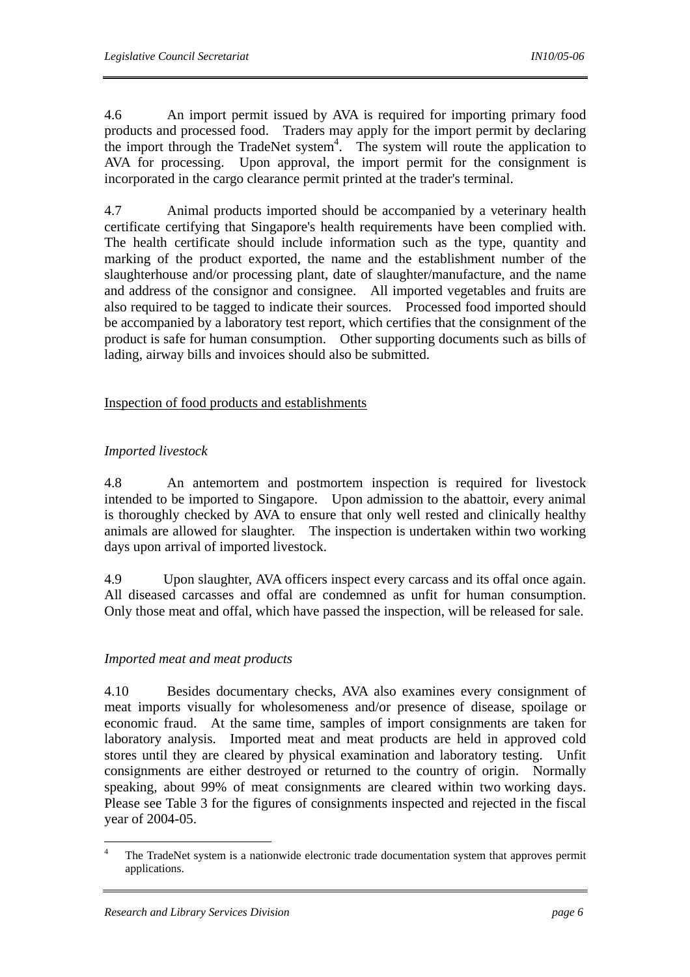4.6 An import permit issued by AVA is required for importing primary food products and processed food. Traders may apply for the import permit by declaring the import through the TradeNet system<sup>4</sup>. The system will route the application to AVA for processing. Upon approval, the import permit for the consignment is incorporated in the cargo clearance permit printed at the trader's terminal.

4.7 Animal products imported should be accompanied by a veterinary health certificate certifying that Singapore's health requirements have been complied with. The health certificate should include information such as the type, quantity and marking of the product exported, the name and the establishment number of the slaughterhouse and/or processing plant, date of slaughter/manufacture, and the name and address of the consignor and consignee. All imported vegetables and fruits are also required to be tagged to indicate their sources. Processed food imported should be accompanied by a laboratory test report, which certifies that the consignment of the product is safe for human consumption. Other supporting documents such as bills of lading, airway bills and invoices should also be submitted.

### Inspection of food products and establishments

# *Imported livestock*

4.8 An antemortem and postmortem inspection is required for livestock intended to be imported to Singapore. Upon admission to the abattoir, every animal is thoroughly checked by AVA to ensure that only well rested and clinically healthy animals are allowed for slaughter. The inspection is undertaken within two working days upon arrival of imported livestock.

4.9 Upon slaughter, AVA officers inspect every carcass and its offal once again. All diseased carcasses and offal are condemned as unfit for human consumption. Only those meat and offal, which have passed the inspection, will be released for sale.

# *Imported meat and meat products*

4.10 Besides documentary checks, AVA also examines every consignment of meat imports visually for wholesomeness and/or presence of disease, spoilage or economic fraud. At the same time, samples of import consignments are taken for laboratory analysis. Imported meat and meat products are held in approved cold stores until they are cleared by physical examination and laboratory testing. Unfit consignments are either destroyed or returned to the country of origin. Normally speaking, about 99% of meat consignments are cleared within two working days. Please see Table 3 for the figures of consignments inspected and rejected in the fiscal year of 2004-05.

 $\overline{a}$ 

<sup>4</sup> The TradeNet system is a nationwide electronic trade documentation system that approves permit applications.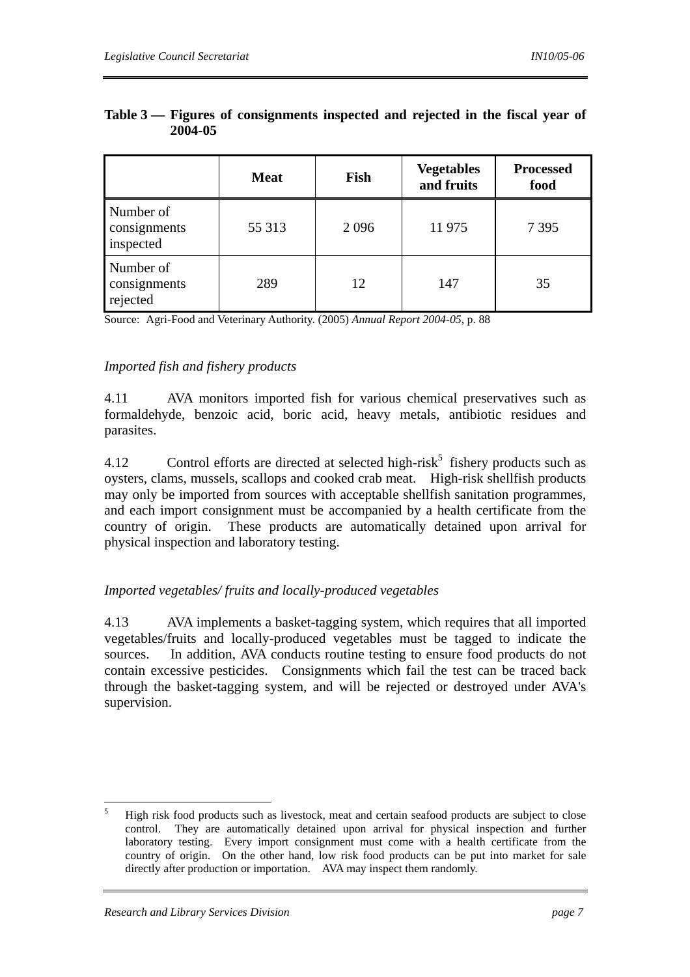|                                        | <b>Meat</b> | Fish | <b>Vegetables</b><br>and fruits | <b>Processed</b><br>food |
|----------------------------------------|-------------|------|---------------------------------|--------------------------|
| Number of<br>consignments<br>inspected | 55 313      | 2096 | 11 975                          | 7 3 9 5                  |
| Number of<br>consignments<br>rejected  | 289         | 12   | 147                             | 35                       |

### **Table 3 — Figures of consignments inspected and rejected in the fiscal year of 2004-05**

Source: Agri-Food and Veterinary Authority. (2005) *Annual Report 2004-05*, p. 88

### *Imported fish and fishery products*

4.11 AVA monitors imported fish for various chemical preservatives such as formaldehyde, benzoic acid, boric acid, heavy metals, antibiotic residues and parasites.

4.12 Control efforts are directed at selected high-risk<sup>5</sup> fishery products such as oysters, clams, mussels, scallops and cooked crab meat. High-risk shellfish products may only be imported from sources with acceptable shellfish sanitation programmes, and each import consignment must be accompanied by a health certificate from the country of origin. These products are automatically detained upon arrival for physical inspection and laboratory testing.

# *Imported vegetables/ fruits and locally-produced vegetables*

4.13 AVA implements a basket-tagging system, which requires that all imported vegetables/fruits and locally-produced vegetables must be tagged to indicate the sources. In addition, AVA conducts routine testing to ensure food products do not contain excessive pesticides. Consignments which fail the test can be traced back through the basket-tagging system, and will be rejected or destroyed under AVA's supervision.

 5 High risk food products such as livestock, meat and certain seafood products are subject to close control. They are automatically detained upon arrival for physical inspection and further laboratory testing. Every import consignment must come with a health certificate from the country of origin. On the other hand, low risk food products can be put into market for sale directly after production or importation. AVA may inspect them randomly.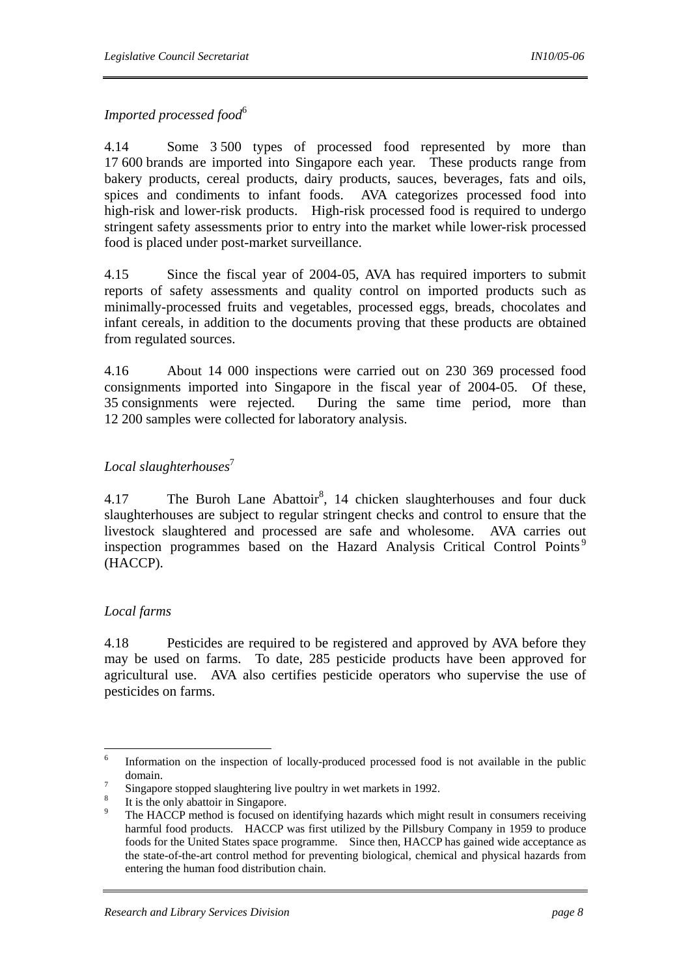# *Imported processed food*<sup>6</sup>

4.14 Some 3 500 types of processed food represented by more than 17 600 brands are imported into Singapore each year. These products range from bakery products, cereal products, dairy products, sauces, beverages, fats and oils, spices and condiments to infant foods. AVA categorizes processed food into high-risk and lower-risk products. High-risk processed food is required to undergo stringent safety assessments prior to entry into the market while lower-risk processed food is placed under post-market surveillance.

4.15 Since the fiscal year of 2004-05, AVA has required importers to submit reports of safety assessments and quality control on imported products such as minimally-processed fruits and vegetables, processed eggs, breads, chocolates and infant cereals, in addition to the documents proving that these products are obtained from regulated sources.

4.16 About 14 000 inspections were carried out on 230 369 processed food consignments imported into Singapore in the fiscal year of 2004-05. Of these, 35 consignments were rejected. During the same time period, more than 12 200 samples were collected for laboratory analysis.

# *Local slaughterhouses*<sup>7</sup>

4.17 The Buroh Lane Abattoir<sup>8</sup>, 14 chicken slaughterhouses and four duck slaughterhouses are subject to regular stringent checks and control to ensure that the livestock slaughtered and processed are safe and wholesome. AVA carries out inspection programmes based on the Hazard Analysis Critical Control Points<sup>9</sup> (HACCP).

# *Local farms*

4.18 Pesticides are required to be registered and approved by AVA before they may be used on farms. To date, 285 pesticide products have been approved for agricultural use. AVA also certifies pesticide operators who supervise the use of pesticides on farms.

 $\frac{1}{6}$  Information on the inspection of locally-produced processed food is not available in the public  $\frac{1}{7}$  domain.

Singapore stopped slaughtering live poultry in wet markets in 1992.

<sup>8</sup> It is the only abattoir in Singapore.

<sup>9</sup> The HACCP method is focused on identifying hazards which might result in consumers receiving harmful food products. HACCP was first utilized by the Pillsbury Company in 1959 to produce foods for the United States space programme. Since then, HACCP has gained wide acceptance as the state-of-the-art control method for preventing biological, chemical and physical hazards from entering the human food distribution chain.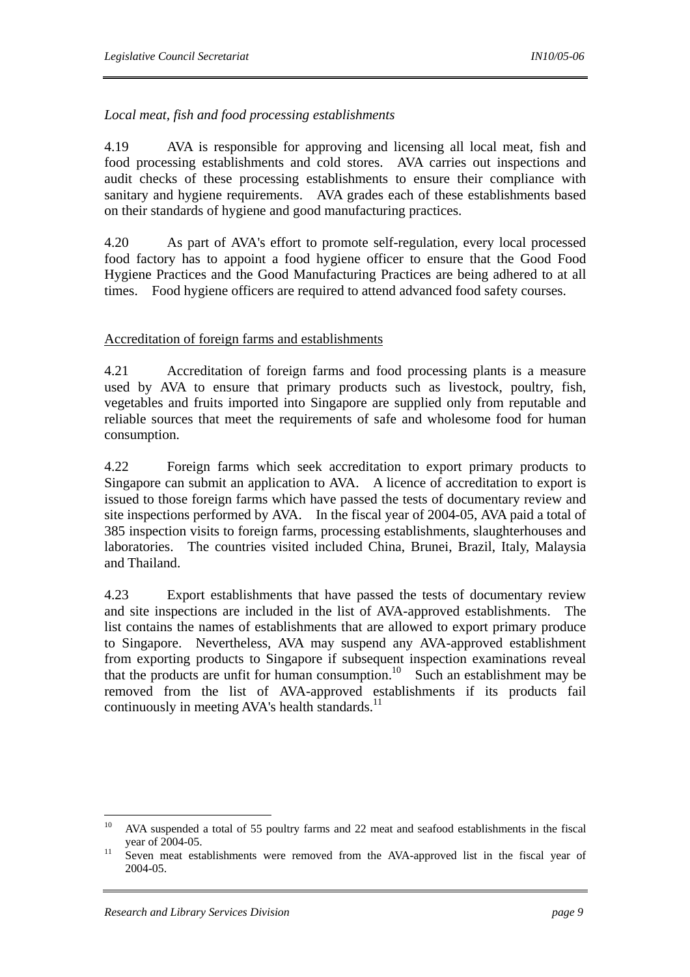# *Local meat, fish and food processing establishments*

4.19 AVA is responsible for approving and licensing all local meat, fish and food processing establishments and cold stores. AVA carries out inspections and audit checks of these processing establishments to ensure their compliance with sanitary and hygiene requirements. AVA grades each of these establishments based on their standards of hygiene and good manufacturing practices.

4.20 As part of AVA's effort to promote self-regulation, every local processed food factory has to appoint a food hygiene officer to ensure that the Good Food Hygiene Practices and the Good Manufacturing Practices are being adhered to at all times. Food hygiene officers are required to attend advanced food safety courses.

### Accreditation of foreign farms and establishments

4.21 Accreditation of foreign farms and food processing plants is a measure used by AVA to ensure that primary products such as livestock, poultry, fish, vegetables and fruits imported into Singapore are supplied only from reputable and reliable sources that meet the requirements of safe and wholesome food for human consumption.

4.22 Foreign farms which seek accreditation to export primary products to Singapore can submit an application to AVA. A licence of accreditation to export is issued to those foreign farms which have passed the tests of documentary review and site inspections performed by AVA. In the fiscal year of 2004-05, AVA paid a total of 385 inspection visits to foreign farms, processing establishments, slaughterhouses and laboratories. The countries visited included China, Brunei, Brazil, Italy, Malaysia and Thailand.

4.23 Export establishments that have passed the tests of documentary review and site inspections are included in the list of AVA-approved establishments. The list contains the names of establishments that are allowed to export primary produce to Singapore. Nevertheless, AVA may suspend any AVA-approved establishment from exporting products to Singapore if subsequent inspection examinations reveal that the products are unfit for human consumption.<sup>10</sup> Such an establishment may be removed from the list of AVA-approved establishments if its products fail continuously in meeting  $AVA$ 's health standards.<sup>11</sup>

 $10<sup>10</sup>$ 10 AVA suspended a total of 55 poultry farms and 22 meat and seafood establishments in the fiscal year of 2004-05. 11 Seven meat establishments were removed from the AVA-approved list in the fiscal year of

<sup>2004-05.</sup>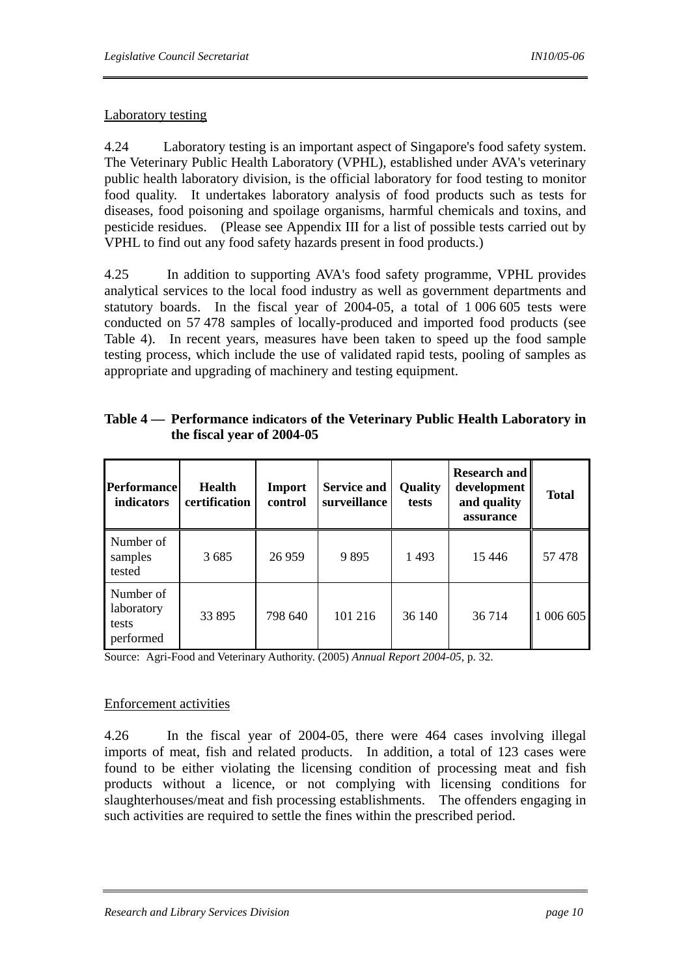### Laboratory testing

4.24 Laboratory testing is an important aspect of Singapore's food safety system. The Veterinary Public Health Laboratory (VPHL), established under AVA's veterinary public health laboratory division, is the official laboratory for food testing to monitor food quality. It undertakes laboratory analysis of food products such as tests for diseases, food poisoning and spoilage organisms, harmful chemicals and toxins, and pesticide residues. (Please see Appendix III for a list of possible tests carried out by VPHL to find out any food safety hazards present in food products.)

4.25 In addition to supporting AVA's food safety programme, VPHL provides analytical services to the local food industry as well as government departments and statutory boards. In the fiscal year of 2004-05, a total of 1 006 605 tests were conducted on 57 478 samples of locally-produced and imported food products (see Table 4). In recent years, measures have been taken to speed up the food sample testing process, which include the use of validated rapid tests, pooling of samples as appropriate and upgrading of machinery and testing equipment.

| <b>Performance</b><br>indicators              | Health<br>certification | Import<br>control | <b>Service and</b><br>surveillance | <b>Quality</b><br>tests | <b>Research and</b><br>development<br>and quality<br>assurance | <b>Total</b> |
|-----------------------------------------------|-------------------------|-------------------|------------------------------------|-------------------------|----------------------------------------------------------------|--------------|
| Number of<br>samples<br>tested                | 3685                    | 26 9 59           | 9895                               | 1493                    | 15446                                                          | 57478        |
| Number of<br>laboratory<br>tests<br>performed | 33 895                  | 798 640           | 101 216                            | 36 140                  | 36 714                                                         | 006 605      |

**Table 4 — Performance indicators of the Veterinary Public Health Laboratory in the fiscal year of 2004-05** 

Source: Agri-Food and Veterinary Authority. (2005) *Annual Report 2004-05*, p. 32.

### Enforcement activities

4.26 In the fiscal year of 2004-05, there were 464 cases involving illegal imports of meat, fish and related products. In addition, a total of 123 cases were found to be either violating the licensing condition of processing meat and fish products without a licence, or not complying with licensing conditions for slaughterhouses/meat and fish processing establishments. The offenders engaging in such activities are required to settle the fines within the prescribed period.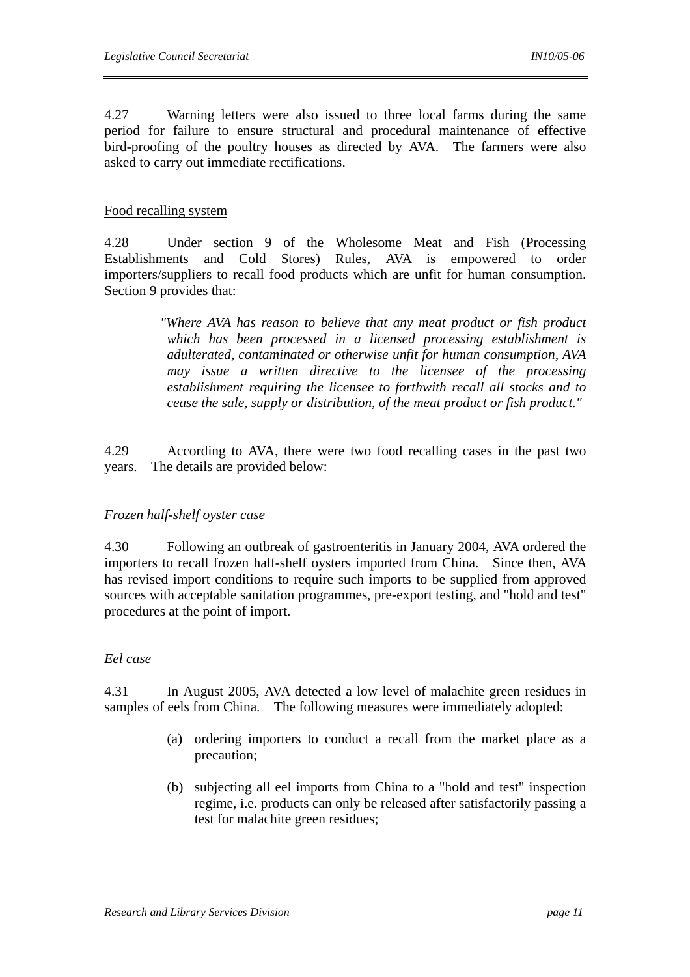4.27 Warning letters were also issued to three local farms during the same period for failure to ensure structural and procedural maintenance of effective bird-proofing of the poultry houses as directed by AVA. The farmers were also asked to carry out immediate rectifications.

### Food recalling system

4.28 Under section 9 of the Wholesome Meat and Fish (Processing Establishments and Cold Stores) Rules, AVA is empowered to order importers/suppliers to recall food products which are unfit for human consumption. Section 9 provides that:

> *"Where AVA has reason to believe that any meat product or fish product which has been processed in a licensed processing establishment is adulterated, contaminated or otherwise unfit for human consumption, AVA may issue a written directive to the licensee of the processing establishment requiring the licensee to forthwith recall all stocks and to cease the sale, supply or distribution, of the meat product or fish product."*

4.29 According to AVA, there were two food recalling cases in the past two years. The details are provided below:

### *Frozen half-shelf oyster case*

4.30 Following an outbreak of gastroenteritis in January 2004, AVA ordered the importers to recall frozen half-shelf oysters imported from China. Since then, AVA has revised import conditions to require such imports to be supplied from approved sources with acceptable sanitation programmes, pre-export testing, and "hold and test" procedures at the point of import.

### *Eel case*

4.31 In August 2005, AVA detected a low level of malachite green residues in samples of eels from China. The following measures were immediately adopted:

- (a) ordering importers to conduct a recall from the market place as a precaution;
- (b) subjecting all eel imports from China to a "hold and test" inspection regime, i.e. products can only be released after satisfactorily passing a test for malachite green residues;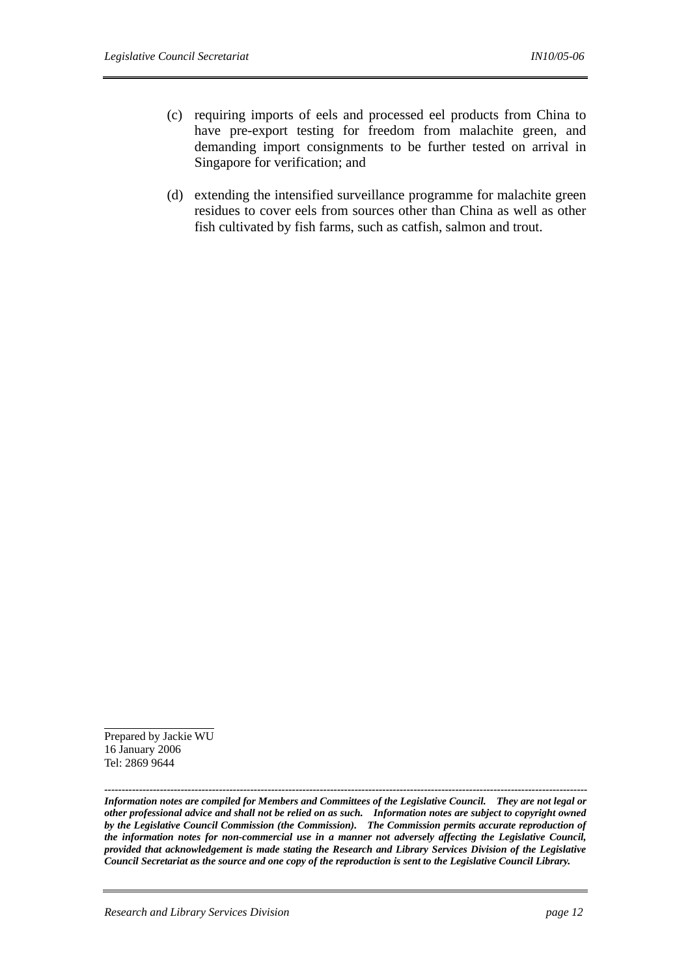- (c) requiring imports of eels and processed eel products from China to have pre-export testing for freedom from malachite green, and demanding import consignments to be further tested on arrival in Singapore for verification; and
- (d) extending the intensified surveillance programme for malachite green residues to cover eels from sources other than China as well as other fish cultivated by fish farms, such as catfish, salmon and trout.

Prepared by Jackie WU 16 January 2006 Tel: 2869 9644

*------------------------------------------------------------------------------------------------------------------------------------------- Information notes are compiled for Members and Committees of the Legislative Council. They are not legal or other professional advice and shall not be relied on as such. Information notes are subject to copyright owned by the Legislative Council Commission (the Commission). The Commission permits accurate reproduction of the information notes for non-commercial use in a manner not adversely affecting the Legislative Council, provided that acknowledgement is made stating the Research and Library Services Division of the Legislative Council Secretariat as the source and one copy of the reproduction is sent to the Legislative Council Library.*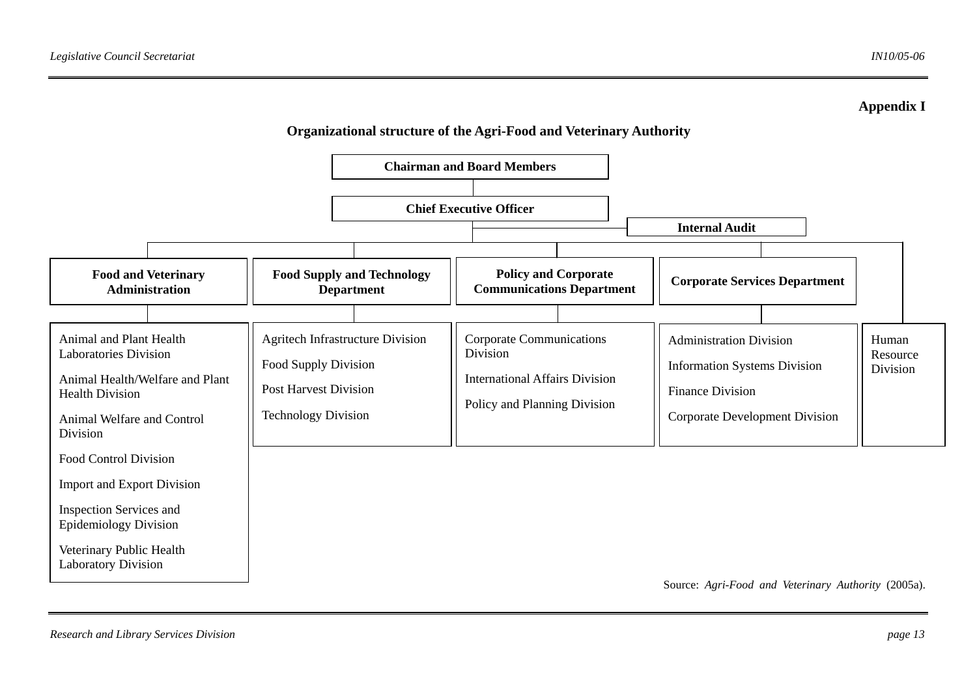

Source: *Agri-Food and Veterinary Authority* (2005a).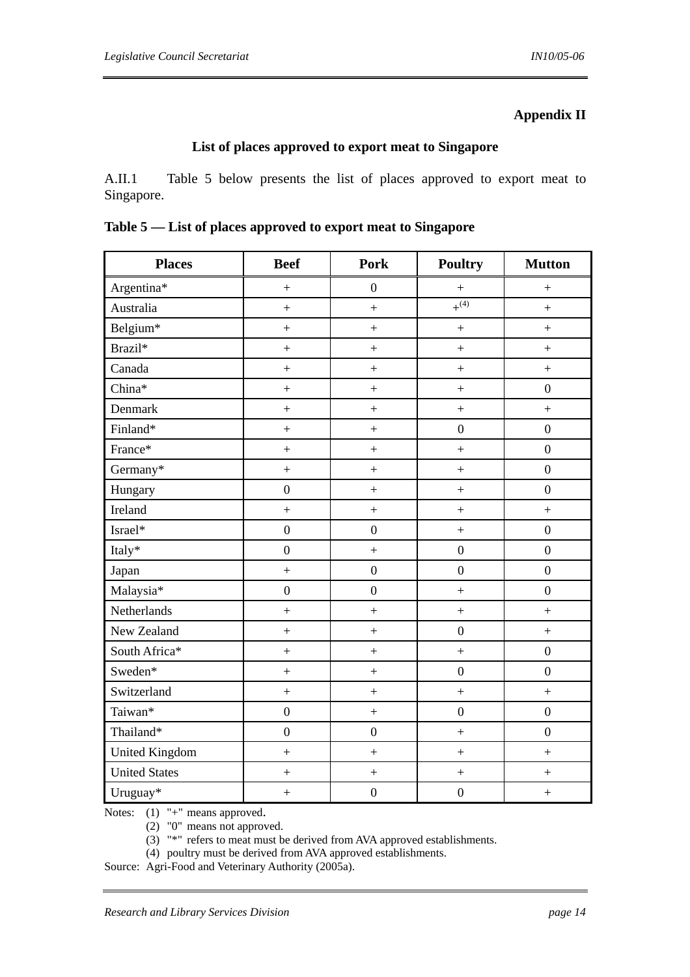# **Appendix II**

### **List of places approved to export meat to Singapore**

A.II.1 Table 5 below presents the list of places approved to export meat to Singapore.

|  |  |  |  | Table 5 — List of places approved to export meat to Singapore |
|--|--|--|--|---------------------------------------------------------------|
|--|--|--|--|---------------------------------------------------------------|

| <b>Places</b>        | <b>Beef</b>       | <b>Pork</b>       | <b>Poultry</b>    | <b>Mutton</b>     |
|----------------------|-------------------|-------------------|-------------------|-------------------|
| Argentina*           | $\boldsymbol{+}$  | $\boldsymbol{0}$  |                   | $\boldsymbol{+}$  |
| Australia            | $\ddot{}$         | $\ddot{}$         | $+^{(4)}$         | $\pm$             |
| Belgium*             | $\boldsymbol{+}$  | $\boldsymbol{+}$  | $\ddot{}$         | $\pm$             |
| Brazil*              | $\boldsymbol{+}$  | $\boldsymbol{+}$  | $\ddot{}$         | $\boldsymbol{+}$  |
| Canada               | $\boldsymbol{+}$  | $\boldsymbol{+}$  | $^{+}$            | $\boldsymbol{+}$  |
| China*               | $\ddot{}$         | $\pm$             | $\ddot{}$         | $\boldsymbol{0}$  |
| Denmark              | $\ddot{}$         | $\ddot{}$         | $\qquad \qquad +$ | $\ddot{}$         |
| Finland*             | $\boldsymbol{+}$  | $\pm$             | $\boldsymbol{0}$  | $\boldsymbol{0}$  |
| France*              | $\boldsymbol{+}$  | $\ddot{}$         | $\qquad \qquad +$ | $\boldsymbol{0}$  |
| Germany*             | $\ddot{}$         | $\pm$             | $\ddot{}$         | $\overline{0}$    |
| Hungary              | $\overline{0}$    | $\ddot{}$         | $\ddot{}$         | $\overline{0}$    |
| Ireland              | $\ddot{}$         | $\pm$             | $\boldsymbol{+}$  | $\ddot{}$         |
| Israel*              | $\boldsymbol{0}$  | $\boldsymbol{0}$  | $\ddot{+}$        | $\boldsymbol{0}$  |
| Italy*               | $\overline{0}$    | $\ddot{}$         | $\boldsymbol{0}$  | $\overline{0}$    |
| Japan                | $\ddot{}$         | $\boldsymbol{0}$  | $\boldsymbol{0}$  | $\overline{0}$    |
| Malaysia*            | $\boldsymbol{0}$  | $\overline{0}$    | $\ddot{+}$        | $\boldsymbol{0}$  |
| Netherlands          | $\ddot{}$         | $\qquad \qquad +$ | $\qquad \qquad +$ | $\qquad \qquad +$ |
| New Zealand          | $\ddot{}$         | $\pm$             | $\boldsymbol{0}$  | $\pm$             |
| South Africa*        | $\qquad \qquad +$ | $\boldsymbol{+}$  | $\pm$             | $\boldsymbol{0}$  |
| Sweden*              | $\! + \!$         | $\boldsymbol{+}$  | $\boldsymbol{0}$  | $\boldsymbol{0}$  |
| Switzerland          | $\boldsymbol{+}$  | $\boldsymbol{+}$  | $^{+}$            | $\qquad \qquad +$ |
| Taiwan*              | $\boldsymbol{0}$  | $\pm$             | $\boldsymbol{0}$  | $\boldsymbol{0}$  |
| Thailand*            | $\boldsymbol{0}$  | $\boldsymbol{0}$  | $\ddot{}$         | $\boldsymbol{0}$  |
| United Kingdom       | $\pm$             | $\boldsymbol{+}$  | $\ddot{}$         | $\pm$             |
| <b>United States</b> | $\ddot{}$         | $\pm$             | $\qquad \qquad +$ | $\pm$             |
| Uruguay*             | $\ddot{}$         | $\boldsymbol{0}$  | $\boldsymbol{0}$  | $\ddot{}$         |

Notes: (1) "+" means approved.<br>(2) "0" means not approved.

(3) "\*" refers to meat must be derived from AVA approved establishments.

(4) poultry must be derived from AVA approved establishments.

Source: Agri-Food and Veterinary Authority (2005a).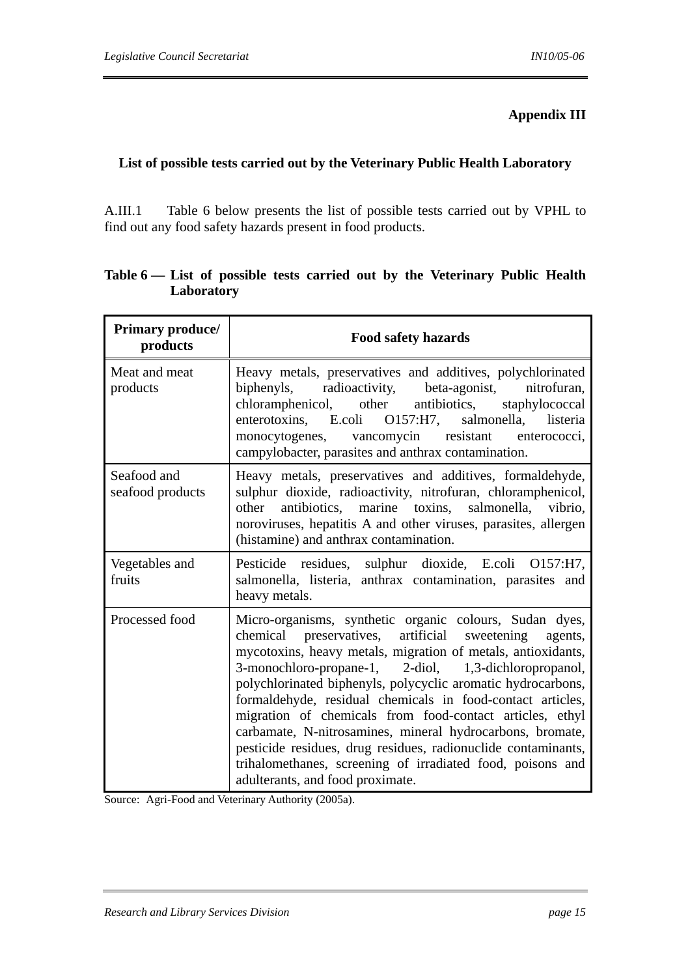## **Appendix III**

# **List of possible tests carried out by the Veterinary Public Health Laboratory**

A.III.1 Table 6 below presents the list of possible tests carried out by VPHL to find out any food safety hazards present in food products.

| Primary produce/<br>products    | <b>Food safety hazards</b>                                                                                                                                                                                                                                                                                                                                                                                                                                                                                                                                                                                                                                                |
|---------------------------------|---------------------------------------------------------------------------------------------------------------------------------------------------------------------------------------------------------------------------------------------------------------------------------------------------------------------------------------------------------------------------------------------------------------------------------------------------------------------------------------------------------------------------------------------------------------------------------------------------------------------------------------------------------------------------|
| Meat and meat<br>products       | Heavy metals, preservatives and additives, polychlorinated<br>biphenyls, radioactivity, beta-agonist, nitrofuran,<br>antibiotics,<br>staphylococcal<br>chloramphenicol, other<br>enterotoxins, E.coli O157:H7, salmonella,<br>listeria<br>monocytogenes, vancomycin resistant enterococci,<br>campylobacter, parasites and anthrax contamination.                                                                                                                                                                                                                                                                                                                         |
| Seafood and<br>seafood products | Heavy metals, preservatives and additives, formaldehyde,<br>sulphur dioxide, radioactivity, nitrofuran, chloramphenicol,<br>antibiotics, marine toxins,<br>salmonella, vibrio,<br>other<br>noroviruses, hepatitis A and other viruses, parasites, allergen<br>(histamine) and anthrax contamination.                                                                                                                                                                                                                                                                                                                                                                      |
| Vegetables and<br>fruits        | Pesticide residues, sulphur dioxide, E.coli O157:H7,<br>salmonella, listeria, anthrax contamination, parasites and<br>heavy metals.                                                                                                                                                                                                                                                                                                                                                                                                                                                                                                                                       |
| Processed food                  | Micro-organisms, synthetic organic colours, Sudan dyes,<br>artificial sweetening<br>chemical preservatives,<br>agents,<br>mycotoxins, heavy metals, migration of metals, antioxidants,<br>3-monochloro-propane-1, 2-diol, 1,3-dichloropropanol,<br>polychlorinated biphenyls, polycyclic aromatic hydrocarbons,<br>formaldehyde, residual chemicals in food-contact articles,<br>migration of chemicals from food-contact articles, ethyl<br>carbamate, N-nitrosamines, mineral hydrocarbons, bromate,<br>pesticide residues, drug residues, radionuclide contaminants,<br>trihalomethanes, screening of irradiated food, poisons and<br>adulterants, and food proximate. |

# **Table 6 — List of possible tests carried out by the Veterinary Public Health Laboratory**

Source: Agri-Food and Veterinary Authority (2005a).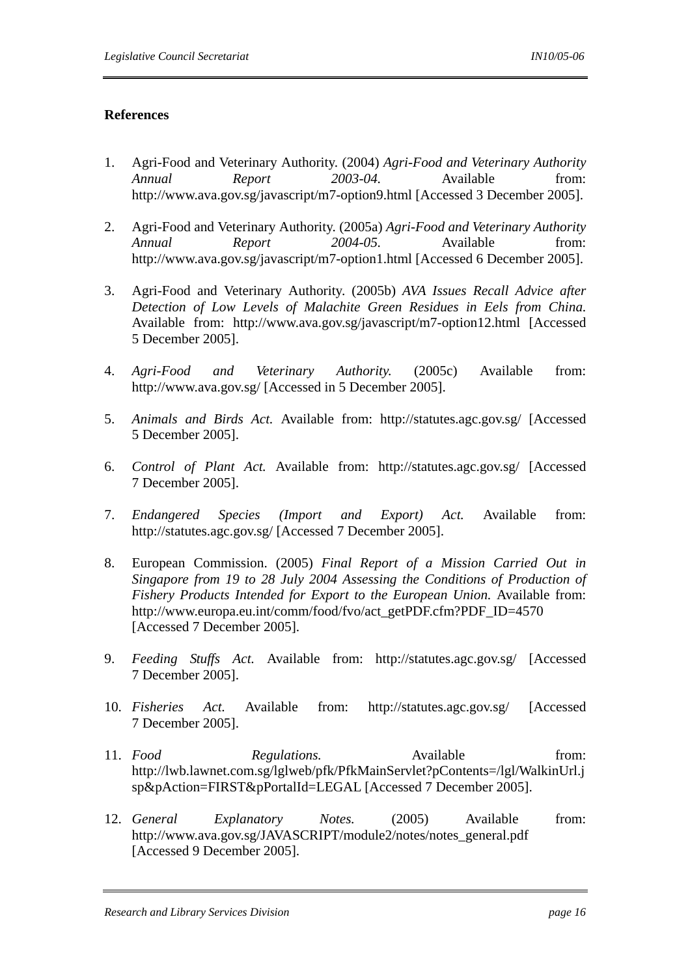# **References**

- 1. Agri-Food and Veterinary Authority. (2004) *Agri-Food and Veterinary Authority Annual Report 2003-04.* Available from: http://www.ava.gov.sg/javascript/m7-option9.html [Accessed 3 December 2005].
- 2. Agri-Food and Veterinary Authority. (2005a) *Agri-Food and Veterinary Authority Annual Report 2004-05.* Available from: http://www.ava.gov.sg/javascript/m7-option1.html [Accessed 6 December 2005].
- 3. Agri-Food and Veterinary Authority. (2005b) *AVA Issues Recall Advice after Detection of Low Levels of Malachite Green Residues in Eels from China.* Available from: http://www.ava.gov.sg/javascript/m7-option12.html [Accessed 5 December 2005].
- 4. *Agri-Food and Veterinary Authority.* (2005c) Available from: http://www.ava.gov.sg/ [Accessed in 5 December 2005].
- 5. *Animals and Birds Act.* Available from: http://statutes.agc.gov.sg/ [Accessed 5 December 2005].
- 6. *Control of Plant Act.* Available from: http://statutes.agc.gov.sg/ [Accessed 7 December 2005].
- 7. *Endangered Species (Import and Export) Act.* Available from: http://statutes.agc.gov.sg/ [Accessed 7 December 2005].
- 8. European Commission. (2005) *Final Report of a Mission Carried Out in Singapore from 19 to 28 July 2004 Assessing the Conditions of Production of Fishery Products Intended for Export to the European Union.* Available from: http://www.europa.eu.int/comm/food/fvo/act\_getPDF.cfm?PDF\_ID=4570 [Accessed 7 December 2005].
- 9. *Feeding Stuffs Act.* Available from: http://statutes.agc.gov.sg/ [Accessed 7 December 2005].
- 10. *Fisheries Act.* Available from: http://statutes.agc.gov.sg/ [Accessed 7 December 2005].
- 11. *Food Regulations.* Available from: http://lwb.lawnet.com.sg/lglweb/pfk/PfkMainServlet?pContents=/lgl/WalkinUrl.j sp&pAction=FIRST&pPortalId=LEGAL [Accessed 7 December 2005].
- 12. *General Explanatory Notes.* (2005) Available from: http://www.ava.gov.sg/JAVASCRIPT/module2/notes/notes\_general.pdf [Accessed 9 December 2005].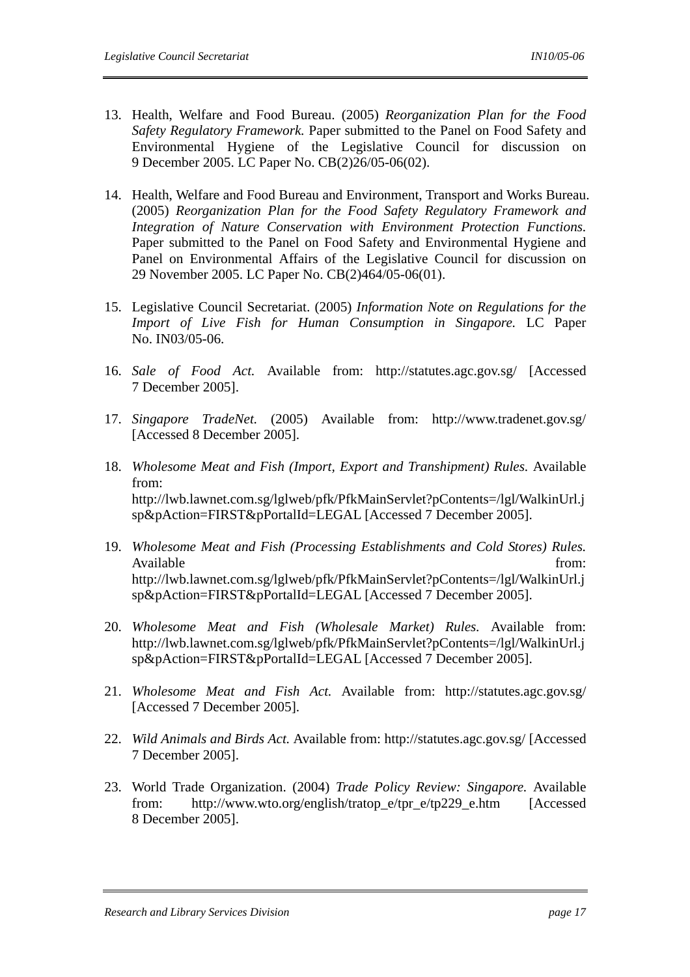- 13. Health, Welfare and Food Bureau. (2005) *Reorganization Plan for the Food Safety Regulatory Framework.* Paper submitted to the Panel on Food Safety and Environmental Hygiene of the Legislative Council for discussion on 9 December 2005. LC Paper No. CB(2)26/05-06(02).
- 14. Health, Welfare and Food Bureau and Environment, Transport and Works Bureau. (2005) *Reorganization Plan for the Food Safety Regulatory Framework and Integration of Nature Conservation with Environment Protection Functions.* Paper submitted to the Panel on Food Safety and Environmental Hygiene and Panel on Environmental Affairs of the Legislative Council for discussion on 29 November 2005. LC Paper No. CB(2)464/05-06(01).
- 15. Legislative Council Secretariat. (2005) *Information Note on Regulations for the Import of Live Fish for Human Consumption in Singapore.* LC Paper No. IN03/05-06.
- 16. *Sale of Food Act.* Available from: http://statutes.agc.gov.sg/ [Accessed 7 December 2005].
- 17. *Singapore TradeNet.* (2005) Available from: http://www.tradenet.gov.sg/ [Accessed 8 December 2005].
- 18. *Wholesome Meat and Fish (Import, Export and Transhipment) Rules.* Available from: http://lwb.lawnet.com.sg/lglweb/pfk/PfkMainServlet?pContents=/lgl/WalkinUrl.j sp&pAction=FIRST&pPortalId=LEGAL [Accessed 7 December 2005].
- 19. *Wholesome Meat and Fish (Processing Establishments and Cold Stores) Rules.*  Available from: http://lwb.lawnet.com.sg/lglweb/pfk/PfkMainServlet?pContents=/lgl/WalkinUrl.j sp&pAction=FIRST&pPortalId=LEGAL [Accessed 7 December 2005].
- 20. *Wholesome Meat and Fish (Wholesale Market) Rules.* Available from: http://lwb.lawnet.com.sg/lglweb/pfk/PfkMainServlet?pContents=/lgl/WalkinUrl.j sp&pAction=FIRST&pPortalId=LEGAL [Accessed 7 December 2005].
- 21. *Wholesome Meat and Fish Act.* Available from: http://statutes.agc.gov.sg/ [Accessed 7 December 2005].
- 22. *Wild Animals and Birds Act.* Available from: http://statutes.agc.gov.sg/ [Accessed 7 December 2005].
- 23. World Trade Organization. (2004) *Trade Policy Review: Singapore.* Available from: http://www.wto.org/english/tratop\_e/tpr\_e/tp229\_e.htm [Accessed 8 December 2005].